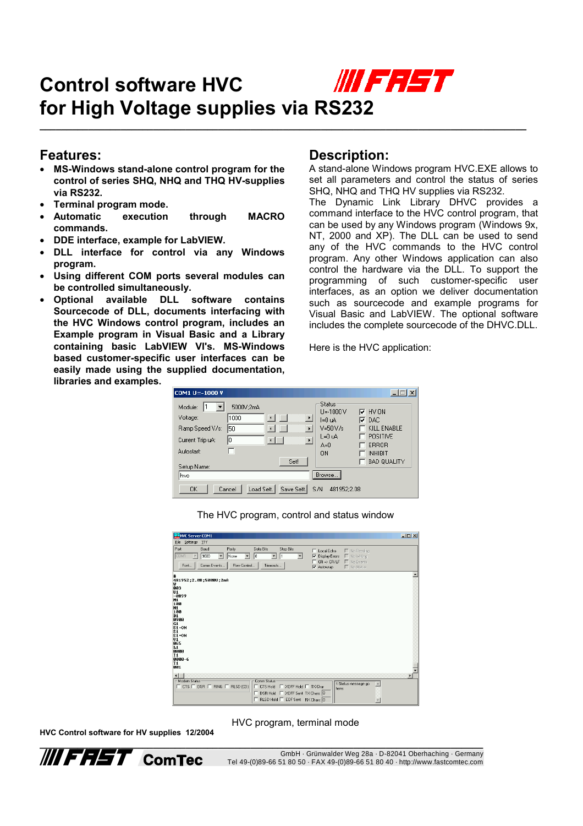## WIE FEET **Control software HVC for High Voltage supplies via RS232**

**\_\_\_\_\_\_\_\_\_\_\_\_\_\_\_\_\_\_\_\_\_\_\_\_\_\_\_\_\_\_\_\_\_\_\_\_\_\_\_\_\_\_\_\_\_\_\_\_\_\_\_\_\_\_\_\_\_\_\_\_\_\_\_\_\_\_\_\_\_\_\_\_\_\_\_\_\_\_\_\_\_\_\_\_\_\_\_\_\_\_**

## **Features:**

- **MS-Windows stand-alone control program for the control of series SHQ, NHQ and THQ HV-supplies via RS232.**
- **Terminal program mode.**
- **Automatic execution through MACRO commands.**
- **DDE interface, example for LabVIEW.**
- **DLL interface for control via any Windows program.**
- **Using different COM ports several modules can be controlled simultaneously.**
- **Optional available DLL software contains Sourcecode of DLL, documents interfacing with the HVC Windows control program, includes an Example program in Visual Basic and a Library containing basic LabVIEW VI's. MS-Windows based customer-specific user interfaces can be easily made using the supplied documentation, libraries and examples.**

## **Description:**

A stand-alone Windows program HVC.EXE allows to set all parameters and control the status of series SHQ, NHQ and THQ HV supplies via RS232.

The Dynamic Link Library DHVC provides a command interface to the HVC control program, that can be used by any Windows program (Windows 9x, NT, 2000 and XP). The DLL can be used to send any of the HVC commands to the HVC control program. Any other Windows application can also control the hardware via the DLL. To support the programming of such customer-specific user interfaces, as an option we deliver documentation such as sourcecode and example programs for Visual Basic and LabVIEW. The optional software includes the complete sourcecode of the DHVC.DLL.

Here is the HVC application:

| COM1 U=-1000 V                                                                                                                                                                                                                                       |                                                                                      |                                                                                                      |
|------------------------------------------------------------------------------------------------------------------------------------------------------------------------------------------------------------------------------------------------------|--------------------------------------------------------------------------------------|------------------------------------------------------------------------------------------------------|
| 1<br>5000V:2mA<br>Module:<br>О<br>Voltage:<br>1000<br>$\left  \cdot \right $<br>Ramp Speed V/s:<br>50<br>$\rightarrow$<br>$\blacktriangleleft$<br>Iо<br>$\left  \cdot \right $<br>$\overline{\phantom{0}}$<br>Current Trip uA:<br>Autostart:<br>Set! | Status<br>$U = 1000 V$<br>$I=0 uA$<br>$V = 50 V/s$<br>$L=0 uA$<br>$A=0$<br><b>ON</b> | $\nabla$ HV ON<br>l⊽ dac<br>KILL ENABLE<br>POSITIVE<br>ERROR<br><b>INHIBIT</b><br><b>BAD QUALITY</b> |
| Setup Name:<br>hvc<br>Load Sett.<br>Save Sett.<br><b>OK</b><br>Cancel                                                                                                                                                                                | Browse<br>S/N<br>481952:2.08                                                         |                                                                                                      |

The HVC program, control and status window

| HVC Server COM1                                                                                                                                                                                                                                                                                                                                                                                                          | $-12 \times$ |
|--------------------------------------------------------------------------------------------------------------------------------------------------------------------------------------------------------------------------------------------------------------------------------------------------------------------------------------------------------------------------------------------------------------------------|--------------|
| File Settings<br>TTY                                                                                                                                                                                                                                                                                                                                                                                                     |              |
| Port<br>Baud<br>Data Bits<br><b>Stop Bits</b><br>Parity<br>No Reading<br>Local Echo<br>E.<br>COM1<br>9600<br>18<br><b>Display Errors</b><br>□ No Writing<br>$\overline{\phantom{a}}$<br>$\blacktriangledown$<br>⊽<br>×<br>None<br>$\overline{\phantom{a}}$<br>$\blacktriangledown$<br>l1<br>$CR \Rightarrow CR/LF$<br>■ No Events<br>Comm Events<br>Flow Control<br>Timeouts<br>Font<br>$\Gamma$ No Status<br>V Autowrap |              |
| 481952;2.08;5000U;2mA<br>w<br>003<br>U1<br>$-0899$<br>M1<br>100<br><b>N1</b><br>100<br>D1<br>0900<br>G1<br>$S1 = ON$<br>S <sub>1</sub><br>$S1 = ON$<br>$\mathsf{u}_1$<br>865<br>L1<br><b>PRAN</b><br>I <sub>1</sub><br>0000-6<br>T1<br>001                                                                                                                                                                               |              |
| $\blacksquare$<br>- Modem Status<br>Comm Status:<br>1:Status message go<br>$\blacktriangle$<br>$\Box$ CTS $\Box$ DSR $\Box$ RING $\Box$ RLSD (CD)<br>□ CTS Hold □ XOFF Hold □ TX Char<br>here:<br>□ DSR Hold □ XOFF Sent TX Chars: 0<br>F RLSD Hold F EOF Sent RX Chars: 0                                                                                                                                               |              |

**HVC Control software for HV supplies 12/2004**

HVC program, terminal mode

**\_\_\_\_\_\_\_\_\_\_\_\_\_\_\_\_\_\_\_\_\_\_\_\_\_\_\_\_\_\_\_\_\_\_\_\_\_\_\_\_\_\_\_\_\_\_\_\_\_\_\_\_\_\_\_\_\_\_\_\_\_\_\_\_\_\_\_\_\_\_\_\_\_\_\_\_\_\_\_\_\_\_** GmbH · Grünwalder Weg 28a · D-82041 Oberhaching · Germany Tel 49-(0)89-66 51 80 50 · FAX 49-(0)89-66 51 80 40 · http://www.fastcomtec.com